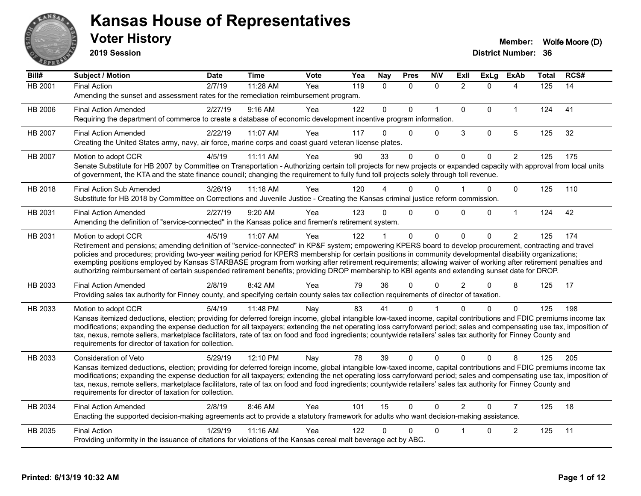

**2019 Session**

| Bill#          | Subject / Motion                                                                                                                                                                                                                                                                                                                                                                                                                                                                                                                                                                                                                                                   | <b>Date</b> | <b>Time</b> | Vote | Yea | <b>Nay</b> | <b>Pres</b>  | <b>N\V</b>   | ExIl           | <b>ExLg</b>  | <b>ExAb</b>    | Total | RCS# |
|----------------|--------------------------------------------------------------------------------------------------------------------------------------------------------------------------------------------------------------------------------------------------------------------------------------------------------------------------------------------------------------------------------------------------------------------------------------------------------------------------------------------------------------------------------------------------------------------------------------------------------------------------------------------------------------------|-------------|-------------|------|-----|------------|--------------|--------------|----------------|--------------|----------------|-------|------|
| <b>HB 2001</b> | <b>Final Action</b><br>Amending the sunset and assessment rates for the remediation reimbursement program.                                                                                                                                                                                                                                                                                                                                                                                                                                                                                                                                                         | 2/7/19      | 11:28 AM    | Yea  | 119 | $\Omega$   | $\mathbf{0}$ | $\Omega$     | $\overline{2}$ | $\Omega$     | 4              | 125   | 14   |
| HB 2006        | <b>Final Action Amended</b><br>Requiring the department of commerce to create a database of economic development incentive program information.                                                                                                                                                                                                                                                                                                                                                                                                                                                                                                                    | 2/27/19     | 9:16 AM     | Yea  | 122 | $\Omega$   | $\Omega$     | $\mathbf{1}$ | $\Omega$       | $\Omega$     | $\mathbf{1}$   | 124   | 41   |
| HB 2007        | <b>Final Action Amended</b><br>Creating the United States army, navy, air force, marine corps and coast guard veteran license plates.                                                                                                                                                                                                                                                                                                                                                                                                                                                                                                                              | 2/22/19     | 11:07 AM    | Yea  | 117 | 0          | $\mathbf{0}$ | $\Omega$     | 3              | $\mathbf 0$  | 5              | 125   | 32   |
| HB 2007        | Motion to adopt CCR<br>Senate Substitute for HB 2007 by Committee on Transportation - Authorizing certain toll projects for new projects or expanded capacity with approval from local units<br>of government, the KTA and the state finance council; changing the requirement to fully fund toll projects solely through toll revenue.                                                                                                                                                                                                                                                                                                                            | 4/5/19      | 11:11 AM    | Yea  | 90  | 33         | $\Omega$     | 0            | $\Omega$       | $\mathbf{0}$ | $\overline{2}$ | 125   | 175  |
| HB 2018        | <b>Final Action Sub Amended</b><br>Substitute for HB 2018 by Committee on Corrections and Juvenile Justice - Creating the Kansas criminal justice reform commission.                                                                                                                                                                                                                                                                                                                                                                                                                                                                                               | 3/26/19     | $11:18$ AM  | Yea  | 120 |            | $\Omega$     | $\mathbf{0}$ |                | $\mathbf 0$  | $\mathbf{0}$   | 125   | 110  |
| HB 2031        | <b>Final Action Amended</b><br>Amending the definition of "service-connected" in the Kansas police and firemen's retirement system.                                                                                                                                                                                                                                                                                                                                                                                                                                                                                                                                | 2/27/19     | 9:20 AM     | Yea  | 123 | $\Omega$   | $\Omega$     | 0            | $\Omega$       | $\mathbf 0$  | $\mathbf{1}$   | 124   | 42   |
| HB 2031        | Motion to adopt CCR<br>Retirement and pensions; amending definition of "service-connected" in KP&F system; empowering KPERS board to develop procurement, contracting and travel<br>policies and procedures; providing two-year waiting period for KPERS membership for certain positions in community developmental disability organizations;<br>exempting positions employed by Kansas STARBASE program from working after retirement requirements; allowing waiver of working after retirement penalties and<br>authorizing reimbursement of certain suspended retirement benefits; providing DROP membership to KBI agents and extending sunset date for DROP. | 4/5/19      | 11:07 AM    | Yea  | 122 |            | $\mathbf{0}$ | $\Omega$     | $\Omega$       | $\Omega$     | $\overline{2}$ | 125   | 174  |
| HB 2033        | <b>Final Action Amended</b><br>Providing sales tax authority for Finney county, and specifying certain county sales tax collection requirements of director of taxation.                                                                                                                                                                                                                                                                                                                                                                                                                                                                                           | 2/8/19      | 8:42 AM     | Yea  | 79  | 36         | $\Omega$     | $\Omega$     | $\mathcal{P}$  | $\Omega$     | 8              | 125   | 17   |
| HB 2033        | Motion to adopt CCR<br>Kansas itemized deductions, election; providing for deferred foreign income, global intangible low-taxed income, capital contributions and FDIC premiums income tax<br>modifications; expanding the expense deduction for all taxpayers; extending the net operating loss carryforward period; sales and compensating use tax, imposition of<br>tax, nexus, remote sellers, marketplace facilitators, rate of tax on food and food ingredients; countywide retailers' sales tax authority for Finney County and<br>requirements for director of taxation for collection.                                                                    | 5/4/19      | 11:48 PM    | Nay  | 83  | 41         | 0            |              |                | $\Omega$     | $\mathbf{0}$   | 125   | 198  |
| HB 2033        | Consideration of Veto<br>Kansas itemized deductions, election; providing for deferred foreign income, global intangible low-taxed income, capital contributions and FDIC premiums income tax<br>modifications; expanding the expense deduction for all taxpayers; extending the net operating loss carryforward period; sales and compensating use tax, imposition of<br>tax, nexus, remote sellers, marketplace facilitators, rate of tax on food and food ingredients; countywide retailers' sales tax authority for Finney County and<br>requirements for director of taxation for collection.                                                                  | 5/29/19     | 12:10 PM    | Nay  | 78  | 39         | $\mathbf{0}$ | $\Omega$     | $\Omega$       | $\Omega$     | 8              | 125   | 205  |
| HB 2034        | <b>Final Action Amended</b><br>Enacting the supported decision-making agreements act to provide a statutory framework for adults who want decision-making assistance.                                                                                                                                                                                                                                                                                                                                                                                                                                                                                              | 2/8/19      | 8:46 AM     | Yea  | 101 | 15         | $\mathbf 0$  | $\Omega$     | $\overline{2}$ | $\Omega$     | $\overline{7}$ | 125   | 18   |
| HB 2035        | <b>Final Action</b><br>Providing uniformity in the issuance of citations for violations of the Kansas cereal malt beverage act by ABC.                                                                                                                                                                                                                                                                                                                                                                                                                                                                                                                             | 1/29/19     | 11:16 AM    | Yea  | 122 |            | 0            | 0            |                | $\Omega$     | $\overline{c}$ | 125   | 11   |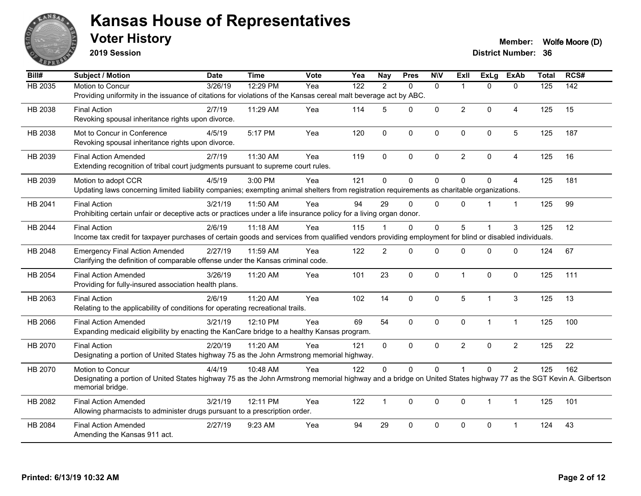

**2019 Session**

#### **Voter History Member:** Wolfe Moore (D)

| Bill#          | <b>Subject / Motion</b>                                                                                                                                                              | <b>Date</b>         | <b>Time</b> | <b>Vote</b> | Yea              | <b>Nay</b>     | <b>Pres</b>  | <b>N\V</b>   | ExII                    | <b>ExLg</b>  | <b>ExAb</b>    | <b>Total</b>     | RCS# |
|----------------|--------------------------------------------------------------------------------------------------------------------------------------------------------------------------------------|---------------------|-------------|-------------|------------------|----------------|--------------|--------------|-------------------------|--------------|----------------|------------------|------|
| <b>HB 2035</b> | Motion to Concur                                                                                                                                                                     | $\frac{1}{3/26/19}$ | 12:29 PM    | Yea         | $\overline{122}$ | 2              | $\Omega$     | $\mathbf{0}$ | $\overline{\mathbf{1}}$ | $\Omega$     | $\Omega$       | $\overline{125}$ | 142  |
|                | Providing uniformity in the issuance of citations for violations of the Kansas cereal malt beverage act by ABC.                                                                      |                     |             |             |                  |                |              |              |                         |              |                |                  |      |
| HB 2038        | <b>Final Action</b>                                                                                                                                                                  | 2/7/19              | 11:29 AM    | Yea         | 114              | 5              | $\mathbf{0}$ | $\Omega$     | $\overline{2}$          | $\Omega$     | 4              | 125              | 15   |
|                | Revoking spousal inheritance rights upon divorce.                                                                                                                                    |                     |             |             |                  |                |              |              |                         |              |                |                  |      |
| HB 2038        | Mot to Concur in Conference                                                                                                                                                          | 4/5/19              | 5:17 PM     | Yea         | 120              | $\mathbf 0$    | 0            | 0            | $\mathbf 0$             | 0            | 5              | 125              | 187  |
|                | Revoking spousal inheritance rights upon divorce.                                                                                                                                    |                     |             |             |                  |                |              |              |                         |              |                |                  |      |
| HB 2039        | <b>Final Action Amended</b>                                                                                                                                                          | 2/7/19              | 11:30 AM    | Yea         | 119              | $\mathbf{0}$   | $\mathbf{0}$ | $\mathbf{0}$ | $\overline{2}$          | $\mathbf{0}$ | 4              | 125              | 16   |
|                | Extending recognition of tribal court judgments pursuant to supreme court rules.                                                                                                     |                     |             |             |                  |                |              |              |                         |              |                |                  |      |
| HB 2039        | Motion to adopt CCR                                                                                                                                                                  | 4/5/19              | 3:00 PM     | Yea         | 121              | $\mathbf{0}$   | $\Omega$     | $\Omega$     | $\mathbf{0}$            | $\Omega$     | 4              | 125              | 181  |
|                | Updating laws concerning limited liability companies; exempting animal shelters from registration requirements as charitable organizations.                                          |                     |             |             |                  |                |              |              |                         |              |                |                  |      |
| HB 2041        | <b>Final Action</b>                                                                                                                                                                  | 3/21/19             | 11:50 AM    | Yea         | 94               | 29             | $\Omega$     | $\mathbf{0}$ | $\mathbf{0}$            |              | $\overline{1}$ | 125              | 99   |
|                | Prohibiting certain unfair or deceptive acts or practices under a life insurance policy for a living organ donor.                                                                    |                     |             |             |                  |                |              |              |                         |              |                |                  |      |
| HB 2044        | <b>Final Action</b>                                                                                                                                                                  | 2/6/19              | 11:18 AM    | Yea         | 115              |                | $\mathbf{0}$ | $\Omega$     | 5                       |              | 3              | 125              | 12   |
|                | Income tax credit for taxpayer purchases of certain goods and services from qualified vendors providing employment for blind or disabled individuals.                                |                     |             |             |                  |                |              |              |                         |              |                |                  |      |
| HB 2048        | <b>Emergency Final Action Amended</b>                                                                                                                                                | 2/27/19             | 11:59 AM    | Yea         | 122              | $\overline{c}$ | $\Omega$     | $\Omega$     | 0                       | $\mathbf{0}$ | $\Omega$       | 124              | 67   |
|                | Clarifying the definition of comparable offense under the Kansas criminal code.                                                                                                      |                     |             |             |                  |                |              |              |                         |              |                |                  |      |
| HB 2054        | <b>Final Action Amended</b>                                                                                                                                                          | 3/26/19             | 11:20 AM    | Yea         | 101              | 23             | $\Omega$     | $\mathbf 0$  | $\overline{1}$          | $\Omega$     | $\Omega$       | 125              | 111  |
|                | Providing for fully-insured association health plans.                                                                                                                                |                     |             |             |                  |                |              |              |                         |              |                |                  |      |
| HB 2063        | <b>Final Action</b>                                                                                                                                                                  | 2/6/19              | 11:20 AM    | Yea         | 102              | 14             | 0            | $\mathbf 0$  | 5                       | 1            | $\mathbf{3}$   | 125              | 13   |
|                | Relating to the applicability of conditions for operating recreational trails.                                                                                                       |                     |             |             |                  |                |              |              |                         |              |                |                  |      |
| HB 2066        | <b>Final Action Amended</b>                                                                                                                                                          | 3/21/19             | 12:10 PM    | Yea         | 69               | 54             | 0            | $\mathbf 0$  | $\mathbf 0$             | $\mathbf{1}$ | $\mathbf{1}$   | 125              | 100  |
|                | Expanding medicaid eligibility by enacting the KanCare bridge to a healthy Kansas program.                                                                                           |                     |             |             |                  |                |              |              |                         |              |                |                  |      |
| HB 2070        | <b>Final Action</b>                                                                                                                                                                  | 2/20/19             | 11:20 AM    | Yea         | 121              | $\mathbf{0}$   | $\Omega$     | $\mathbf{0}$ | $\overline{2}$          | $\Omega$     | $\overline{2}$ | 125              | 22   |
|                | Designating a portion of United States highway 75 as the John Armstrong memorial highway.                                                                                            |                     |             |             |                  |                |              |              |                         |              |                |                  |      |
| HB 2070        | Motion to Concur                                                                                                                                                                     | 4/4/19              | 10:48 AM    | Yea         | 122              | 0              | 0            | $\mathbf 0$  |                         | $\mathbf{0}$ | $\overline{c}$ | 125              | 162  |
|                | Designating a portion of United States highway 75 as the John Armstrong memorial highway and a bridge on United States highway 77 as the SGT Kevin A. Gilbertson<br>memorial bridge. |                     |             |             |                  |                |              |              |                         |              |                |                  |      |
|                |                                                                                                                                                                                      | 3/21/19             | 12:11 PM    |             | 122              | $\mathbf{1}$   | $\mathbf{0}$ | $\Omega$     |                         | $\mathbf{1}$ | $\mathbf 1$    | 125              | 101  |
| HB 2082        | <b>Final Action Amended</b><br>Allowing pharmacists to administer drugs pursuant to a prescription order.                                                                            |                     |             | Yea         |                  |                |              |              | $\mathbf 0$             |              |                |                  |      |
| HB 2084        | <b>Final Action Amended</b>                                                                                                                                                          | 2/27/19             | 9:23 AM     | Yea         | 94               | 29             | $\mathbf 0$  | 0            | $\mathbf 0$             | 0            | -1             | 124              | 43   |
|                | Amending the Kansas 911 act.                                                                                                                                                         |                     |             |             |                  |                |              |              |                         |              |                |                  |      |
|                |                                                                                                                                                                                      |                     |             |             |                  |                |              |              |                         |              |                |                  |      |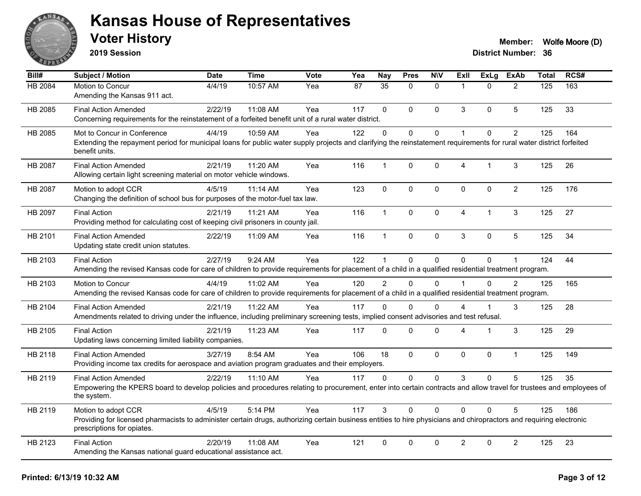

**2019 Session**

| $\overline{BiII#}$ | Subject / Motion                                                                                                                                                                                  | <b>Date</b> | <b>Time</b> | Vote | Yea | <b>Nay</b>   | <b>Pres</b> | <b>NIV</b>   | ExII           | <b>ExLg</b>    | <b>ExAb</b>    | <b>Total</b> | RCS# |
|--------------------|---------------------------------------------------------------------------------------------------------------------------------------------------------------------------------------------------|-------------|-------------|------|-----|--------------|-------------|--------------|----------------|----------------|----------------|--------------|------|
| HB 2084            | Motion to Concur                                                                                                                                                                                  | 4/4/19      | 10:57 AM    | Yea  | 87  | 35           | $\Omega$    | $\Omega$     | $\mathbf{1}$   | $\Omega$       | $\overline{2}$ | 125          | 163  |
|                    | Amending the Kansas 911 act.                                                                                                                                                                      |             |             |      |     |              |             |              |                |                |                |              |      |
| HB 2085            | <b>Final Action Amended</b>                                                                                                                                                                       | 2/22/19     | 11:08 AM    | Yea  | 117 | $\mathbf{0}$ | $\Omega$    | $\mathbf{0}$ | 3              | $\Omega$       | 5              | 125          | 33   |
|                    | Concerning requirements for the reinstatement of a forfeited benefit unit of a rural water district.                                                                                              |             |             |      |     |              |             |              |                |                |                |              |      |
| HB 2085            | Mot to Concur in Conference                                                                                                                                                                       | 4/4/19      | 10:59 AM    | Yea  | 122 | $\mathbf{0}$ | $\Omega$    | $\Omega$     | $\overline{1}$ | 0              | $\overline{2}$ | 125          | 164  |
|                    | Extending the repayment period for municipal loans for public water supply projects and clarifying the reinstatement requirements for rural water district forfeited<br>benefit units.            |             |             |      |     |              |             |              |                |                |                |              |      |
| HB 2087            | <b>Final Action Amended</b>                                                                                                                                                                       | 2/21/19     | 11:20 AM    | Yea  | 116 | $\mathbf{1}$ | 0           | $\mathbf 0$  | $\overline{4}$ | $\overline{1}$ | 3              | 125          | 26   |
|                    | Allowing certain light screening material on motor vehicle windows.                                                                                                                               |             |             |      |     |              |             |              |                |                |                |              |      |
| HB 2087            | Motion to adopt CCR                                                                                                                                                                               | 4/5/19      | 11:14 AM    | Yea  | 123 | $\mathbf 0$  | 0           | $\mathbf 0$  | $\mathbf 0$    | $\Omega$       | $\overline{2}$ | 125          | 176  |
|                    | Changing the definition of school bus for purposes of the motor-fuel tax law.                                                                                                                     |             |             |      |     |              |             |              |                |                |                |              |      |
| HB 2097            | <b>Final Action</b>                                                                                                                                                                               | 2/21/19     | 11:21 AM    | Yea  | 116 | $\mathbf{1}$ | $\Omega$    | $\Omega$     | $\overline{4}$ | $\mathbf 1$    | 3              | 125          | 27   |
|                    | Providing method for calculating cost of keeping civil prisoners in county jail.                                                                                                                  |             |             |      |     |              |             |              |                |                |                |              |      |
| HB 2101            | <b>Final Action Amended</b>                                                                                                                                                                       | 2/22/19     | 11:09 AM    | Yea  | 116 | $\mathbf{1}$ | $\Omega$    | $\Omega$     | 3              | $\Omega$       | 5              | 125          | 34   |
|                    | Updating state credit union statutes.                                                                                                                                                             |             |             |      |     |              |             |              |                |                |                |              |      |
| HB 2103            | <b>Final Action</b>                                                                                                                                                                               | 2/27/19     | 9:24 AM     | Yea  | 122 | $\mathbf{1}$ | 0           | 0            | $\mathbf{0}$   | $\Omega$       | 1              | 124          | 44   |
|                    | Amending the revised Kansas code for care of children to provide requirements for placement of a child in a qualified residential treatment program.                                              |             |             |      |     |              |             |              |                |                |                |              |      |
| HB 2103            | Motion to Concur                                                                                                                                                                                  | 4/4/19      | 11:02 AM    | Yea  | 120 | 2            | $\Omega$    | $\Omega$     |                | $\Omega$       | $\overline{2}$ | 125          | 165  |
|                    | Amending the revised Kansas code for care of children to provide requirements for placement of a child in a qualified residential treatment program.                                              |             |             |      |     |              |             |              |                |                |                |              |      |
| HB 2104            | <b>Final Action Amended</b>                                                                                                                                                                       | 2/21/19     | 11:22 AM    | Yea  | 117 | $\Omega$     | $\mathbf 0$ | $\Omega$     | Δ              | 1              | 3              | 125          | 28   |
|                    | Amendments related to driving under the influence, including preliminary screening tests, implied consent advisories and test refusal.                                                            |             |             |      |     |              |             |              |                |                |                |              |      |
| HB 2105            | <b>Final Action</b>                                                                                                                                                                               | 2/21/19     | 11:23 AM    | Yea  | 117 | $\Omega$     | $\Omega$    | $\Omega$     | $\Delta$       | 1              | 3              | 125          | 29   |
|                    | Updating laws concerning limited liability companies.                                                                                                                                             |             |             |      |     |              |             |              |                |                |                |              |      |
| HB 2118            | <b>Final Action Amended</b>                                                                                                                                                                       | 3/27/19     | 8:54 AM     | Yea  | 106 | 18           | $\Omega$    | $\Omega$     | $\mathbf{0}$   | $\Omega$       | $\mathbf{1}$   | 125          | 149  |
|                    | Providing income tax credits for aerospace and aviation program graduates and their employers.                                                                                                    |             |             |      |     |              |             |              |                |                |                |              |      |
| HB 2119            | <b>Final Action Amended</b>                                                                                                                                                                       | 2/22/19     | $11:10$ AM  | Yea  | 117 | $\Omega$     | $\Omega$    | $\Omega$     | 3              | $\Omega$       | 5              | 125          | 35   |
|                    | Empowering the KPERS board to develop policies and procedures relating to procurement, enter into certain contracts and allow travel for trustees and employees of<br>the system.                 |             |             |      |     |              |             |              |                |                |                |              |      |
| HB 2119            | Motion to adopt CCR                                                                                                                                                                               | 4/5/19      | 5:14 PM     | Yea  | 117 | 3            | $\Omega$    | $\Omega$     | $\Omega$       | 0              | 5              | 125          | 186  |
|                    | Providing for licensed pharmacists to administer certain drugs, authorizing certain business entities to hire physicians and chiropractors and requiring electronic<br>prescriptions for opiates. |             |             |      |     |              |             |              |                |                |                |              |      |
| HB 2123            | <b>Final Action</b>                                                                                                                                                                               | 2/20/19     | 11:08 AM    | Yea  | 121 | $\mathbf 0$  | 0           | $\mathbf 0$  | $\overline{2}$ | 0              | $\overline{2}$ | 125          | 23   |
|                    | Amending the Kansas national guard educational assistance act.                                                                                                                                    |             |             |      |     |              |             |              |                |                |                |              |      |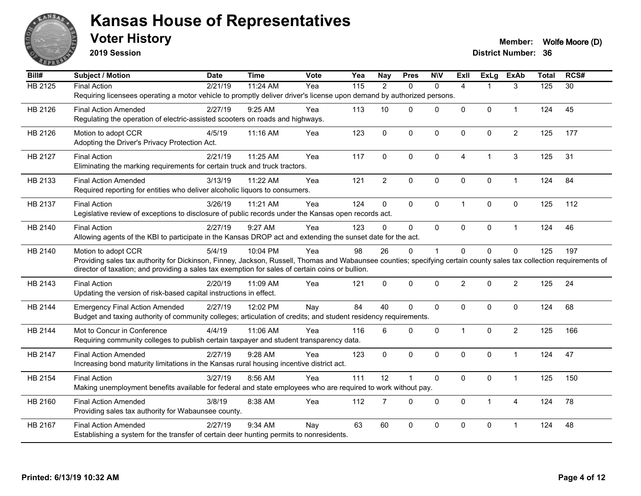

**2019 Session**

| Bill#          | <b>Subject / Motion</b>                                                                                                                                                                     | <b>Date</b> | <b>Time</b> | Vote | Yea | <b>Nay</b>     | <b>Pres</b> | <b>NIV</b>   | <b>ExII</b>    | ExLg           | <b>ExAb</b>    | <b>Total</b> | RCS#            |
|----------------|---------------------------------------------------------------------------------------------------------------------------------------------------------------------------------------------|-------------|-------------|------|-----|----------------|-------------|--------------|----------------|----------------|----------------|--------------|-----------------|
| <b>HB 2125</b> | <b>Final Action</b>                                                                                                                                                                         | 2/21/19     | 11:24 AM    | Yea  | 115 | 2              | $\Omega$    | $\Omega$     | $\overline{A}$ |                | 3              | 125          | $\overline{30}$ |
|                | Requiring licensees operating a motor vehicle to promptly deliver driver's license upon demand by authorized persons.                                                                       |             |             |      |     |                |             |              |                |                |                |              |                 |
| HB 2126        | <b>Final Action Amended</b>                                                                                                                                                                 | 2/27/19     | $9:25$ AM   | Yea  | 113 | 10             | 0           | $\mathbf{0}$ | $\Omega$       | $\mathbf{0}$   | $\mathbf{1}$   | 124          | 45              |
|                | Regulating the operation of electric-assisted scooters on roads and highways.                                                                                                               |             |             |      |     |                |             |              |                |                |                |              |                 |
| HB 2126        | Motion to adopt CCR                                                                                                                                                                         | 4/5/19      | 11:16 AM    | Yea  | 123 | $\mathbf 0$    | $\mathbf 0$ | $\pmb{0}$    | $\mathbf 0$    | 0              | $\overline{c}$ | 125          | 177             |
|                | Adopting the Driver's Privacy Protection Act.                                                                                                                                               |             |             |      |     |                |             |              |                |                |                |              |                 |
| HB 2127        | <b>Final Action</b>                                                                                                                                                                         | 2/21/19     | 11:25 AM    | Yea  | 117 | $\Omega$       | 0           | $\Omega$     | $\overline{A}$ | $\overline{1}$ | $\mathbf{3}$   | 125          | 31              |
|                | Eliminating the marking requirements for certain truck and truck tractors.                                                                                                                  |             |             |      |     |                |             |              |                |                |                |              |                 |
| HB 2133        | <b>Final Action Amended</b>                                                                                                                                                                 | 3/13/19     | 11:22 AM    | Yea  | 121 | $\overline{2}$ | $\mathbf 0$ | $\pmb{0}$    | 0              | 0              | $\mathbf{1}$   | 124          | 84              |
|                | Required reporting for entities who deliver alcoholic liquors to consumers.                                                                                                                 |             |             |      |     |                |             |              |                |                |                |              |                 |
| HB 2137        | <b>Final Action</b>                                                                                                                                                                         | 3/26/19     | 11:21 AM    | Yea  | 124 | 0              | $\mathbf 0$ | $\pmb{0}$    | $\mathbf{1}$   | 0              | $\mathbf 0$    | 125          | 112             |
|                | Legislative review of exceptions to disclosure of public records under the Kansas open records act.                                                                                         |             |             |      |     |                |             |              |                |                |                |              |                 |
| HB 2140        | <b>Final Action</b>                                                                                                                                                                         | 2/27/19     | 9:27 AM     | Yea  | 123 | 0              | $\Omega$    | $\Omega$     | $\Omega$       | 0              | $\mathbf{1}$   | 124          | 46              |
|                | Allowing agents of the KBI to participate in the Kansas DROP act and extending the sunset date for the act.                                                                                 |             |             |      |     |                |             |              |                |                |                |              |                 |
|                |                                                                                                                                                                                             | 5/4/19      | 10:04 PM    | Yea  | 98  | 26             |             | $\mathbf 1$  | $\Omega$       |                |                | 125          | 197             |
| HB 2140        | Motion to adopt CCR<br>Providing sales tax authority for Dickinson, Finney, Jackson, Russell, Thomas and Wabaunsee counties; specifying certain county sales tax collection requirements of |             |             |      |     |                | 0           |              |                | 0              | $\mathbf 0$    |              |                 |
|                | director of taxation; and providing a sales tax exemption for sales of certain coins or bullion.                                                                                            |             |             |      |     |                |             |              |                |                |                |              |                 |
| HB 2143        | <b>Final Action</b>                                                                                                                                                                         | 2/20/19     | 11:09 AM    | Yea  | 121 | $\Omega$       | $\Omega$    | $\mathbf 0$  | $\overline{2}$ | $\Omega$       | $\overline{c}$ | 125          | 24              |
|                | Updating the version of risk-based capital instructions in effect.                                                                                                                          |             |             |      |     |                |             |              |                |                |                |              |                 |
| HB 2144        | <b>Emergency Final Action Amended</b>                                                                                                                                                       | 2/27/19     | 12:02 PM    | Nay  | 84  | 40             | 0           | $\mathbf 0$  | 0              | 0              | $\pmb{0}$      | 124          | 68              |
|                | Budget and taxing authority of community colleges; articulation of credits; and student residency requirements.                                                                             |             |             |      |     |                |             |              |                |                |                |              |                 |
|                |                                                                                                                                                                                             |             |             | Yea  | 116 |                |             |              |                |                |                |              |                 |
| HB 2144        | Mot to Concur in Conference<br>Requiring community colleges to publish certain taxpayer and student transparency data.                                                                      | 4/4/19      | 11:06 AM    |      |     | 6              | 0           | $\mathbf 0$  | $\mathbf{1}$   | 0              | $\overline{2}$ | 125          | 166             |
|                |                                                                                                                                                                                             |             |             |      |     |                |             |              |                |                |                |              |                 |
| HB 2147        | <b>Final Action Amended</b>                                                                                                                                                                 | 2/27/19     | 9:28 AM     | Yea  | 123 | $\mathbf 0$    | 0           | $\mathbf 0$  | $\Omega$       | $\Omega$       | $\mathbf{1}$   | 124          | 47              |
|                | Increasing bond maturity limitations in the Kansas rural housing incentive district act.                                                                                                    |             |             |      |     |                |             |              |                |                |                |              |                 |
| HB 2154        | <b>Final Action</b>                                                                                                                                                                         | 3/27/19     | 8:56 AM     | Yea  | 111 | 12             | 1           | $\mathbf 0$  | $\Omega$       | 0              | $\mathbf{1}$   | 125          | 150             |
|                | Making unemployment benefits available for federal and state employees who are required to work without pay.                                                                                |             |             |      |     |                |             |              |                |                |                |              |                 |
| HB 2160        | <b>Final Action Amended</b>                                                                                                                                                                 | 3/8/19      | 8:38 AM     | Yea  | 112 | $\overline{7}$ | 0           | $\mathbf 0$  | $\mathbf 0$    | $\mathbf 1$    | 4              | 124          | 78              |
|                | Providing sales tax authority for Wabaunsee county.                                                                                                                                         |             |             |      |     |                |             |              |                |                |                |              |                 |
| HB 2167        | <b>Final Action Amended</b>                                                                                                                                                                 | 2/27/19     | 9:34 AM     | Nay  | 63  | 60             | 0           | $\mathbf 0$  | 0              | 0              | -1             | 124          | 48              |
|                | Establishing a system for the transfer of certain deer hunting permits to nonresidents.                                                                                                     |             |             |      |     |                |             |              |                |                |                |              |                 |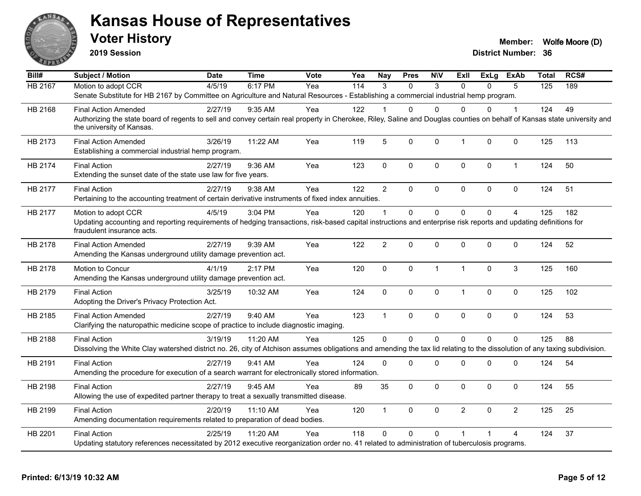

**2019 Session**

| Bill#          | <b>Subject / Motion</b>                                                                                                                                                                               | <b>Date</b> | <b>Time</b> | <b>Vote</b> | Yea              | Nay            | <b>Pres</b> | <b>NIV</b>   | ExII           | ExLg     | ExAb           | <b>Total</b> | RCS# |
|----------------|-------------------------------------------------------------------------------------------------------------------------------------------------------------------------------------------------------|-------------|-------------|-------------|------------------|----------------|-------------|--------------|----------------|----------|----------------|--------------|------|
| <b>HB 2167</b> | Motion to adopt CCR                                                                                                                                                                                   | 4/5/19      | 6:17 PM     | Yea         | $\overline{114}$ | 3              | $\Omega$    | 3            | $\Omega$       | 0        | 5              | 125          | 189  |
|                | Senate Substitute for HB 2167 by Committee on Agriculture and Natural Resources - Establishing a commercial industrial hemp program.                                                                  |             |             |             |                  |                |             |              |                |          |                |              |      |
| HB 2168        | <b>Final Action Amended</b>                                                                                                                                                                           | 2/27/19     | $9:35$ AM   | Yea         | 122              |                | 0           | $\Omega$     | $\Omega$       | 0        | 1              | 124          | 49   |
|                | Authorizing the state board of regents to sell and convey certain real property in Cherokee, Riley, Saline and Douglas counties on behalf of Kansas state university and<br>the university of Kansas. |             |             |             |                  |                |             |              |                |          |                |              |      |
| HB 2173        | <b>Final Action Amended</b><br>Establishing a commercial industrial hemp program.                                                                                                                     | 3/26/19     | 11:22 AM    | Yea         | 119              | $\overline{5}$ | $\Omega$    | $\mathbf{0}$ | $\mathbf{1}$   | 0        | 0              | 125          | 113  |
| HB 2174        | <b>Final Action</b><br>Extending the sunset date of the state use law for five years.                                                                                                                 | 2/27/19     | 9:36 AM     | Yea         | 123              | $\mathbf 0$    | 0           | 0            | $\mathbf 0$    | 0        | $\mathbf{1}$   | 124          | 50   |
| HB 2177        | <b>Final Action</b>                                                                                                                                                                                   | 2/27/19     | 9:38 AM     | Yea         | 122              | $\overline{2}$ | 0           | $\mathbf 0$  | $\pmb{0}$      | $\Omega$ | $\mathbf 0$    | 124          | 51   |
|                | Pertaining to the accounting treatment of certain derivative instruments of fixed index annuities.                                                                                                    |             |             |             |                  |                |             |              |                |          |                |              |      |
| HB 2177        | Motion to adopt CCR                                                                                                                                                                                   | 4/5/19      | 3:04 PM     | Yea         | 120              | $\overline{1}$ | $\Omega$    | $\mathbf 0$  | $\mathbf{0}$   | $\Omega$ | $\overline{A}$ | 125          | 182  |
|                | Updating accounting and reporting requirements of hedging transactions, risk-based capital instructions and enterprise risk reports and updating definitions for<br>fraudulent insurance acts.        |             |             |             |                  |                |             |              |                |          |                |              |      |
| HB 2178        | <b>Final Action Amended</b>                                                                                                                                                                           | 2/27/19     | 9:39 AM     | Yea         | 122              | $\overline{2}$ | 0           | $\Omega$     | $\Omega$       | $\Omega$ | 0              | 124          | 52   |
|                | Amending the Kansas underground utility damage prevention act.                                                                                                                                        |             |             |             |                  |                |             |              |                |          |                |              |      |
| HB 2178        | Motion to Concur                                                                                                                                                                                      | 4/1/19      | 2:17 PM     | Yea         | 120              | $\mathbf 0$    | 0           | $\mathbf{1}$ | $\mathbf{1}$   | $\Omega$ | 3              | 125          | 160  |
|                | Amending the Kansas underground utility damage prevention act.                                                                                                                                        |             |             |             |                  |                |             |              |                |          |                |              |      |
| HB 2179        | <b>Final Action</b>                                                                                                                                                                                   | 3/25/19     | 10:32 AM    | Yea         | 124              | $\pmb{0}$      | 0           | $\mathbf 0$  | $\mathbf{1}$   | 0        | 0              | 125          | 102  |
|                | Adopting the Driver's Privacy Protection Act.                                                                                                                                                         |             |             |             |                  |                |             |              |                |          |                |              |      |
| HB 2185        | <b>Final Action Amended</b>                                                                                                                                                                           | 2/27/19     | 9:40 AM     | Yea         | 123              | $\mathbf{1}$   | 0           | $\mathbf 0$  | $\pmb{0}$      | 0        | 0              | 124          | 53   |
|                | Clarifying the naturopathic medicine scope of practice to include diagnostic imaging.                                                                                                                 |             |             |             |                  |                |             |              |                |          |                |              |      |
| HB 2188        | <b>Final Action</b>                                                                                                                                                                                   | 3/19/19     | 11:20 AM    | Yea         | 125              | $\mathbf{0}$   | $\mathbf 0$ | $\mathbf 0$  | $\mathbf 0$    | $\Omega$ | $\overline{0}$ | 125          | 88   |
|                | Dissolving the White Clay watershed district no. 26, city of Atchison assumes obligations and amending the tax lid relating to the dissolution of any taxing subdivision.                             |             |             |             |                  |                |             |              |                |          |                |              |      |
| HB 2191        | <b>Final Action</b>                                                                                                                                                                                   | 2/27/19     | $9:41$ AM   | Yea         | 124              | $\mathbf{0}$   | 0           | $\Omega$     | $\mathbf 0$    | 0        | 0              | 124          | 54   |
|                | Amending the procedure for execution of a search warrant for electronically stored information.                                                                                                       |             |             |             |                  |                |             |              |                |          |                |              |      |
| HB 2198        | <b>Final Action</b>                                                                                                                                                                                   | 2/27/19     | $9:45$ AM   | Yea         | 89               | 35             | $\Omega$    | $\Omega$     | $\Omega$       | $\Omega$ | $\Omega$       | 124          | 55   |
|                | Allowing the use of expedited partner therapy to treat a sexually transmitted disease.                                                                                                                |             |             |             |                  |                |             |              |                |          |                |              |      |
|                |                                                                                                                                                                                                       |             |             |             |                  |                |             |              |                |          |                |              |      |
| HB 2199        | <b>Final Action</b>                                                                                                                                                                                   | 2/20/19     | 11:10 AM    | Yea         | 120              | $\mathbf{1}$   | 0           | $\mathbf 0$  | $\overline{2}$ | $\Omega$ | 2              | 125          | 25   |
|                | Amending documentation requirements related to preparation of dead bodies.                                                                                                                            |             |             |             |                  |                |             |              |                |          |                |              |      |
| HB 2201        | <b>Final Action</b>                                                                                                                                                                                   | 2/25/19     | 11:20 AM    | Yea         | 118              | $\Omega$       | 0           | $\Omega$     | 1              |          | 4              | 124          | 37   |
|                | Updating statutory references necessitated by 2012 executive reorganization order no. 41 related to administration of tuberculosis programs.                                                          |             |             |             |                  |                |             |              |                |          |                |              |      |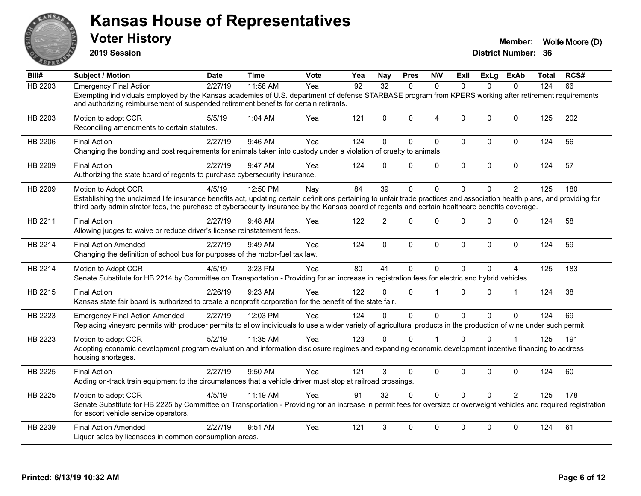

**2019 Session**

| Bill#          | <b>Subject / Motion</b>                                                                                                                                                                                                                                                                                                                              | <b>Date</b> | <b>Time</b> | Vote | Yea | <b>Nay</b>     | <b>Pres</b>  | <b>NIV</b>     | ExII         | <b>ExLg</b>  | ExAb           | <b>Total</b> | RCS# |
|----------------|------------------------------------------------------------------------------------------------------------------------------------------------------------------------------------------------------------------------------------------------------------------------------------------------------------------------------------------------------|-------------|-------------|------|-----|----------------|--------------|----------------|--------------|--------------|----------------|--------------|------|
| <b>HB 2203</b> | <b>Emergency Final Action</b>                                                                                                                                                                                                                                                                                                                        | 2/27/19     | 11:58 AM    | Yea  | 92  | 32             | $\Omega$     | $\Omega$       | $\Omega$     | $\Omega$     | $\Omega$       | 124          | 66   |
|                | Exempting individuals employed by the Kansas academies of U.S. department of defense STARBASE program from KPERS working after retirement requirements<br>and authorizing reimbursement of suspended retirement benefits for certain retirants.                                                                                                      |             |             |      |     |                |              |                |              |              |                |              |      |
| HB 2203        | Motion to adopt CCR<br>Reconciling amendments to certain statutes.                                                                                                                                                                                                                                                                                   | 5/5/19      | 1:04 AM     | Yea  | 121 | $\Omega$       | $\mathbf{0}$ | $\overline{4}$ | $\mathbf{0}$ | $\Omega$     | $\Omega$       | 125          | 202  |
| HB 2206        | <b>Final Action</b><br>Changing the bonding and cost requirements for animals taken into custody under a violation of cruelty to animals.                                                                                                                                                                                                            | 2/27/19     | 9:46 AM     | Yea  | 124 | $\Omega$       | $\mathbf{0}$ | $\Omega$       | $\Omega$     | $\Omega$     | $\mathbf 0$    | 124          | 56   |
| HB 2209        | <b>Final Action</b><br>Authorizing the state board of regents to purchase cybersecurity insurance.                                                                                                                                                                                                                                                   | 2/27/19     | 9:47 AM     | Yea  | 124 | $\Omega$       | $\mathbf{0}$ | 0              | $\mathbf 0$  | 0            | $\mathbf 0$    | 124          | 57   |
| HB 2209        | Motion to Adopt CCR<br>Establishing the unclaimed life insurance benefits act, updating certain definitions pertaining to unfair trade practices and association health plans, and providing for<br>third party administrator fees, the purchase of cybersecurity insurance by the Kansas board of regents and certain healthcare benefits coverage. | 4/5/19      | 12:50 PM    | Nay  | 84  | 39             | $\Omega$     | $\Omega$       | $\Omega$     | 0            | $\overline{2}$ | 125          | 180  |
| HB 2211        | <b>Final Action</b><br>Allowing judges to waive or reduce driver's license reinstatement fees.                                                                                                                                                                                                                                                       | 2/27/19     | 9:48 AM     | Yea  | 122 | $\overline{2}$ | $\Omega$     | $\Omega$       | $\Omega$     | $\mathbf{0}$ | $\Omega$       | 124          | 58   |
| HB 2214        | <b>Final Action Amended</b><br>Changing the definition of school bus for purposes of the motor-fuel tax law.                                                                                                                                                                                                                                         | 2/27/19     | 9:49 AM     | Yea  | 124 | $\mathbf 0$    | 0            | $\mathbf 0$    | $\mathbf 0$  | 0            | $\mathbf 0$    | 124          | 59   |
| HB 2214        | Motion to Adopt CCR<br>Senate Substitute for HB 2214 by Committee on Transportation - Providing for an increase in registration fees for electric and hybrid vehicles.                                                                                                                                                                               | 4/5/19      | 3:23 PM     | Yea  | 80  | 41             | $\Omega$     | $\Omega$       | $\Omega$     | 0            | 4              | 125          | 183  |
| HB 2215        | <b>Final Action</b><br>Kansas state fair board is authorized to create a nonprofit corporation for the benefit of the state fair.                                                                                                                                                                                                                    | 2/26/19     | 9:23 AM     | Yea  | 122 | $\Omega$       | $\Omega$     | 1              | $\Omega$     | $\Omega$     | $\mathbf 1$    | 124          | 38   |
| HB 2223        | <b>Emergency Final Action Amended</b><br>Replacing vineyard permits with producer permits to allow individuals to use a wider variety of agricultural products in the production of wine under such permit.                                                                                                                                          | 2/27/19     | 12:03 PM    | Yea  | 124 | $\Omega$       | $\Omega$     | $\mathbf{0}$   | $\Omega$     | $\Omega$     | $\Omega$       | 124          | 69   |
| HB 2223        | Motion to adopt CCR<br>Adopting economic development program evaluation and information disclosure regimes and expanding economic development incentive financing to address<br>housing shortages.                                                                                                                                                   | 5/2/19      | 11:35 AM    | Yea  | 123 | $\Omega$       | $\mathbf{0}$ |                | $\Omega$     | 0            |                | 125          | 191  |
| HB 2225        | <b>Final Action</b><br>Adding on-track train equipment to the circumstances that a vehicle driver must stop at railroad crossings.                                                                                                                                                                                                                   | 2/27/19     | 9:50 AM     | Yea  | 121 | 3              | $\Omega$     | $\mathbf 0$    | $\mathbf{0}$ | $\Omega$     | $\Omega$       | 124          | 60   |
| HB 2225        | Motion to adopt CCR<br>Senate Substitute for HB 2225 by Committee on Transportation - Providing for an increase in permit fees for oversize or overweight vehicles and required registration<br>for escort vehicle service operators.                                                                                                                | 4/5/19      | 11:19 AM    | Yea  | 91  | 32             | $\Omega$     | $\mathbf{0}$   | $\Omega$     | $\Omega$     | $\overline{2}$ | 125          | 178  |
| HB 2239        | <b>Final Action Amended</b><br>Liquor sales by licensees in common consumption areas.                                                                                                                                                                                                                                                                | 2/27/19     | 9:51 AM     | Yea  | 121 | 3              | $\mathbf{0}$ | $\Omega$       | $\mathbf{0}$ | $\Omega$     | $\mathbf{0}$   | 124          | 61   |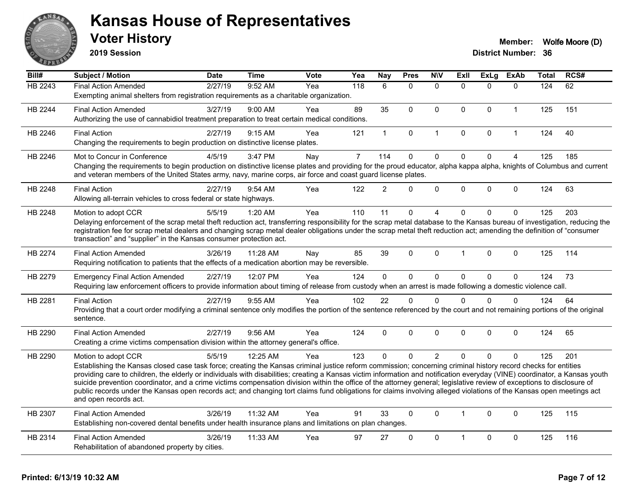

**2019 Session**

| $\overline{Bill#}$ | Subject / Motion                                                                                                                                                                                                                                                                                                                                      | <b>Date</b> | <b>Time</b> | Vote | Yea            | <b>Nay</b>     | <b>Pres</b>  | <b>NIV</b>     | <b>ExII</b>  | <b>ExLg</b> | <b>ExAb</b>    | Total | RCS# |
|--------------------|-------------------------------------------------------------------------------------------------------------------------------------------------------------------------------------------------------------------------------------------------------------------------------------------------------------------------------------------------------|-------------|-------------|------|----------------|----------------|--------------|----------------|--------------|-------------|----------------|-------|------|
| HB 2243            | <b>Final Action Amended</b>                                                                                                                                                                                                                                                                                                                           | 2/27/19     | 9:52 AM     | Yea  | 118            | 6              | $\Omega$     | $\mathbf{0}$   | $\Omega$     | $\Omega$    | $\mathbf{0}$   | 124   | 62   |
|                    | Exempting animal shelters from registration requirements as a charitable organization.                                                                                                                                                                                                                                                                |             |             |      |                |                |              |                |              |             |                |       |      |
| HB 2244            | <b>Final Action Amended</b>                                                                                                                                                                                                                                                                                                                           | 3/27/19     | 9:00 AM     | Yea  | 89             | 35             | $\mathbf{0}$ | $\Omega$       | $\Omega$     | $\Omega$    | $\mathbf{1}$   | 125   | 151  |
|                    | Authorizing the use of cannabidiol treatment preparation to treat certain medical conditions.                                                                                                                                                                                                                                                         |             |             |      |                |                |              |                |              |             |                |       |      |
| HB 2246            | <b>Final Action</b>                                                                                                                                                                                                                                                                                                                                   | 2/27/19     | 9:15 AM     | Yea  | 121            | $\mathbf{1}$   | $\pmb{0}$    | $\mathbf{1}$   | $\mathbf 0$  | 0           | $\mathbf{1}$   | 124   | 40   |
|                    | Changing the requirements to begin production on distinctive license plates.                                                                                                                                                                                                                                                                          |             |             |      |                |                |              |                |              |             |                |       |      |
| HB 2246            | Mot to Concur in Conference                                                                                                                                                                                                                                                                                                                           | 4/5/19      | 3:47 PM     | Nay  | $\overline{7}$ | 114            | $\mathbf 0$  | $\mathsf 0$    | $\mathbf 0$  | $\mathbf 0$ | $\overline{4}$ | 125   | 185  |
|                    | Changing the requirements to begin production on distinctive license plates and providing for the proud educator, alpha kappa alpha, knights of Columbus and current<br>and veteran members of the United States army, navy, marine corps, air force and coast guard license plates.                                                                  |             |             |      |                |                |              |                |              |             |                |       |      |
| HB 2248            | <b>Final Action</b>                                                                                                                                                                                                                                                                                                                                   | 2/27/19     | 9:54 AM     | Yea  | 122            | $\overline{2}$ | $\Omega$     | $\Omega$       | $\Omega$     | $\Omega$    | $\mathbf{0}$   | 124   | 63   |
|                    | Allowing all-terrain vehicles to cross federal or state highways.                                                                                                                                                                                                                                                                                     |             |             |      |                |                |              |                |              |             |                |       |      |
| HB 2248            | Motion to adopt CCR                                                                                                                                                                                                                                                                                                                                   | 5/5/19      | 1:20 AM     | Yea  | 110            | 11             | $\mathbf 0$  | 4              | $\Omega$     | $\Omega$    | $\mathbf{0}$   | 125   | 203  |
|                    | Delaying enforcement of the scrap metal theft reduction act, transferring responsibility for the scrap metal database to the Kansas bureau of investigation, reducing the                                                                                                                                                                             |             |             |      |                |                |              |                |              |             |                |       |      |
|                    | registration fee for scrap metal dealers and changing scrap metal dealer obligations under the scrap metal theft reduction act; amending the definition of "consumer<br>transaction" and "supplier" in the Kansas consumer protection act.                                                                                                            |             |             |      |                |                |              |                |              |             |                |       |      |
|                    |                                                                                                                                                                                                                                                                                                                                                       |             |             |      |                |                |              |                |              |             |                |       |      |
| HB 2274            | <b>Final Action Amended</b>                                                                                                                                                                                                                                                                                                                           | 3/26/19     | 11:28 AM    | Nav  | 85             | 39             | $\mathbf{0}$ | $\Omega$       |              | $\Omega$    | $\mathbf{0}$   | 125   | 114  |
|                    | Requiring notification to patients that the effects of a medication abortion may be reversible.                                                                                                                                                                                                                                                       |             |             |      |                |                |              |                |              |             |                |       |      |
| HB 2279            | <b>Emergency Final Action Amended</b>                                                                                                                                                                                                                                                                                                                 | 2/27/19     | 12:07 PM    | Yea  | 124            | $\overline{0}$ | $\Omega$     | $\mathbf 0$    | $\Omega$     | $\Omega$    | $\mathbf{0}$   | 124   | 73   |
|                    | Requiring law enforcement officers to provide information about timing of release from custody when an arrest is made following a domestic violence call.                                                                                                                                                                                             |             |             |      |                |                |              |                |              |             |                |       |      |
| HB 2281            | <b>Final Action</b>                                                                                                                                                                                                                                                                                                                                   | 2/27/19     | 9:55 AM     | Yea  | 102            | 22             | $\mathbf 0$  | $\mathbf{0}$   | $\Omega$     | $\Omega$    | $\mathbf 0$    | 124   | 64   |
|                    | Providing that a court order modifying a criminal sentence only modifies the portion of the sentence referenced by the court and not remaining portions of the original<br>sentence.                                                                                                                                                                  |             |             |      |                |                |              |                |              |             |                |       |      |
|                    |                                                                                                                                                                                                                                                                                                                                                       |             |             |      |                |                |              |                |              |             |                |       |      |
| HB 2290            | <b>Final Action Amended</b><br>Creating a crime victims compensation division within the attorney general's office.                                                                                                                                                                                                                                   | 2/27/19     | 9:56 AM     | Yea  | 124            | $\Omega$       | $\mathbf{0}$ | $\Omega$       | $\Omega$     | $\Omega$    | $\mathbf{0}$   | 124   | 65   |
|                    |                                                                                                                                                                                                                                                                                                                                                       |             |             |      |                |                |              |                |              |             |                |       |      |
| HB 2290            | Motion to adopt CCR                                                                                                                                                                                                                                                                                                                                   | 5/5/19      | 12:25 AM    | Yea  | 123            | $\Omega$       | $\Omega$     | $\overline{2}$ | $\Omega$     | $\Omega$    | $\Omega$       | 125   | 201  |
|                    | Establishing the Kansas closed case task force; creating the Kansas criminal justice reform commission; concerning criminal history record checks for entities                                                                                                                                                                                        |             |             |      |                |                |              |                |              |             |                |       |      |
|                    | providing care to children, the elderly or individuals with disabilities; creating a Kansas victim information and notification everyday (VINE) coordinator, a Kansas youth<br>suicide prevention coordinator, and a crime victims compensation division within the office of the attorney general; legislative review of exceptions to disclosure of |             |             |      |                |                |              |                |              |             |                |       |      |
|                    | public records under the Kansas open records act; and changing tort claims fund obligations for claims involving alleged violations of the Kansas open meetings act                                                                                                                                                                                   |             |             |      |                |                |              |                |              |             |                |       |      |
|                    | and open records act.                                                                                                                                                                                                                                                                                                                                 |             |             |      |                |                |              |                |              |             |                |       |      |
| HB 2307            | <b>Final Action Amended</b>                                                                                                                                                                                                                                                                                                                           | 3/26/19     | 11:32 AM    | Yea  | 91             | 33             | $\Omega$     | $\Omega$       | $\mathbf{1}$ | $\Omega$    | $\mathbf{0}$   | 125   | 115  |
|                    | Establishing non-covered dental benefits under health insurance plans and limitations on plan changes.                                                                                                                                                                                                                                                |             |             |      |                |                |              |                |              |             |                |       |      |
| HB 2314            | <b>Final Action Amended</b>                                                                                                                                                                                                                                                                                                                           | 3/26/19     | 11:33 AM    | Yea  | 97             | 27             | 0            | $\Omega$       | 1            | $\Omega$    | $\mathbf 0$    | 125   | 116  |
|                    | Rehabilitation of abandoned property by cities.                                                                                                                                                                                                                                                                                                       |             |             |      |                |                |              |                |              |             |                |       |      |
|                    |                                                                                                                                                                                                                                                                                                                                                       |             |             |      |                |                |              |                |              |             |                |       |      |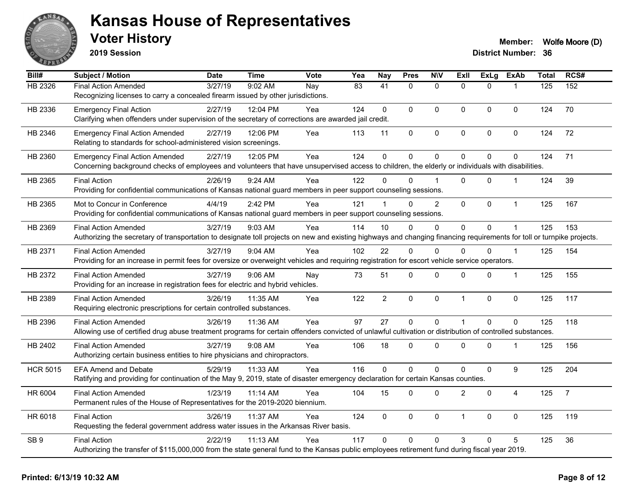

**2019 Session**

| Bill#           | <b>Subject / Motion</b>                                                                                                                                                | <b>Date</b> | <b>Time</b> | <b>Vote</b> | Yea             | <b>Nay</b>      | <b>Pres</b>  | <b>N\V</b>     | Exll           | <b>ExLg</b>  | <b>ExAb</b>    | <b>Total</b> | RCS#           |
|-----------------|------------------------------------------------------------------------------------------------------------------------------------------------------------------------|-------------|-------------|-------------|-----------------|-----------------|--------------|----------------|----------------|--------------|----------------|--------------|----------------|
| HB 2326         | <b>Final Action Amended</b>                                                                                                                                            | 3/27/19     | 9:02 AM     | Nay         | $\overline{83}$ | $\overline{41}$ | $\Omega$     | $\mathbf{0}$   | $\Omega$       | $\Omega$     |                | 125          | 152            |
|                 | Recognizing licenses to carry a concealed firearm issued by other jurisdictions.                                                                                       |             |             |             |                 |                 |              |                |                |              |                |              |                |
| HB 2336         | <b>Emergency Final Action</b>                                                                                                                                          | 2/27/19     | 12:04 PM    | Yea         | 124             | $\mathbf{0}$    | $\Omega$     | $\Omega$       | $\Omega$       | $\mathbf{0}$ | 0              | 124          | 70             |
|                 | Clarifying when offenders under supervision of the secretary of corrections are awarded jail credit.                                                                   |             |             |             |                 |                 |              |                |                |              |                |              |                |
| HB 2346         | <b>Emergency Final Action Amended</b>                                                                                                                                  | 2/27/19     | 12:06 PM    | Yea         | 113             | 11              | 0            | $\mathsf 0$    | $\pmb{0}$      | 0            | 0              | 124          | 72             |
|                 | Relating to standards for school-administered vision screenings.                                                                                                       |             |             |             |                 |                 |              |                |                |              |                |              |                |
| HB 2360         | <b>Emergency Final Action Amended</b>                                                                                                                                  | 2/27/19     | 12:05 PM    | Yea         | 124             | $\mathbf 0$     | 0            | $\mathbf 0$    | $\Omega$       | 0            | $\Omega$       | 124          | 71             |
|                 | Concerning background checks of employees and volunteers that have unsupervised access to children, the elderly or individuals with disabilities.                      |             |             |             |                 |                 |              |                |                |              |                |              |                |
| HB 2365         | <b>Final Action</b>                                                                                                                                                    | 2/26/19     | 9:24 AM     | Yea         | 122             | U               | $\Omega$     |                | $\Omega$       | $\Omega$     | -1             | 124          | 39             |
|                 | Providing for confidential communications of Kansas national guard members in peer support counseling sessions.                                                        |             |             |             |                 |                 |              |                |                |              |                |              |                |
| HB 2365         | Mot to Concur in Conference                                                                                                                                            | 4/4/19      | 2:42 PM     | Yea         | 121             | $\mathbf{1}$    | $\Omega$     | $\overline{2}$ | $\mathbf{0}$   | $\Omega$     | $\mathbf{1}$   | 125          | 167            |
|                 | Providing for confidential communications of Kansas national guard members in peer support counseling sessions.                                                        |             |             |             |                 |                 |              |                |                |              |                |              |                |
| HB 2369         | <b>Final Action Amended</b>                                                                                                                                            | 3/27/19     | $9:03$ AM   | Yea         | 114             | 10              | $\mathbf{0}$ | 0              | $\mathbf{0}$   | $\Omega$     |                | 125          | 153            |
|                 | Authorizing the secretary of transportation to designate toll projects on new and existing highways and changing financing requirements for toll or turnpike projects. |             |             |             |                 |                 |              |                |                |              |                |              |                |
| HB 2371         | <b>Final Action Amended</b>                                                                                                                                            | 3/27/19     | 9:04 AM     | Yea         | 102             | 22              | $\Omega$     | $\Omega$       | $\Omega$       | $\Omega$     | $\overline{1}$ | 125          | 154            |
|                 | Providing for an increase in permit fees for oversize or overweight vehicles and requiring registration for escort vehicle service operators.                          |             |             |             |                 |                 |              |                |                |              |                |              |                |
| HB 2372         | <b>Final Action Amended</b>                                                                                                                                            | 3/27/19     | $9:06$ AM   | Nay         | 73              | 51              | 0            | 0              | $\mathbf 0$    | 0            | $\mathbf 1$    | 125          | 155            |
|                 | Providing for an increase in registration fees for electric and hybrid vehicles.                                                                                       |             |             |             |                 |                 |              |                |                |              |                |              |                |
| HB 2389         | <b>Final Action Amended</b>                                                                                                                                            | 3/26/19     | 11:35 AM    | Yea         | 122             | $\overline{2}$  | 0            | $\mathsf 0$    | $\overline{1}$ | 0            | $\pmb{0}$      | 125          | 117            |
|                 | Requiring electronic prescriptions for certain controlled substances.                                                                                                  |             |             |             |                 |                 |              |                |                |              |                |              |                |
| HB 2396         | <b>Final Action Amended</b>                                                                                                                                            | 3/26/19     | 11:36 AM    | Yea         | 97              | 27              | $\mathbf 0$  | $\mathbf 0$    | $\overline{1}$ | $\Omega$     | $\mathbf 0$    | 125          | 118            |
|                 | Allowing use of certified drug abuse treatment programs for certain offenders convicted of unlawful cultivation or distribution of controlled substances.              |             |             |             |                 |                 |              |                |                |              |                |              |                |
| HB 2402         | <b>Final Action Amended</b>                                                                                                                                            | 3/27/19     | $9:08$ AM   | Yea         | 106             | 18              | $\mathbf{0}$ | $\Omega$       | $\mathbf{0}$   | $\Omega$     | -1             | 125          | 156            |
|                 | Authorizing certain business entities to hire physicians and chiropractors.                                                                                            |             |             |             |                 |                 |              |                |                |              |                |              |                |
| <b>HCR 5015</b> | <b>EFA Amend and Debate</b>                                                                                                                                            | 5/29/19     | 11:33 AM    | Yea         | 116             | $\Omega$        | $\mathbf 0$  | 0              | $\Omega$       | 0            | 9              | 125          | 204            |
|                 | Ratifying and providing for continuation of the May 9, 2019, state of disaster emergency declaration for certain Kansas counties.                                      |             |             |             |                 |                 |              |                |                |              |                |              |                |
| HR 6004         | <b>Final Action Amended</b>                                                                                                                                            | 1/23/19     | 11:14 AM    | Yea         | 104             | 15              | 0            | 0              | $\overline{2}$ | $\mathbf{0}$ | 4              | 125          | $\overline{7}$ |
|                 | Permanent rules of the House of Representatives for the 2019-2020 biennium.                                                                                            |             |             |             |                 |                 |              |                |                |              |                |              |                |
| HR 6018         | <b>Final Action</b>                                                                                                                                                    | 3/26/19     | 11:37 AM    | Yea         | 124             | $\mathbf 0$     | 0            | $\mathbf 0$    | $\mathbf 1$    | 0            | 0              | 125          | 119            |
|                 | Requesting the federal government address water issues in the Arkansas River basis.                                                                                    |             |             |             |                 |                 |              |                |                |              |                |              |                |
| SB <sub>9</sub> | <b>Final Action</b>                                                                                                                                                    | 2/22/19     | 11:13 AM    | Yea         | 117             | $\Omega$        | $\Omega$     | $\Omega$       | 3              | 0            | 5              | 125          | 36             |
|                 | Authorizing the transfer of \$115,000,000 from the state general fund to the Kansas public employees retirement fund during fiscal year 2019.                          |             |             |             |                 |                 |              |                |                |              |                |              |                |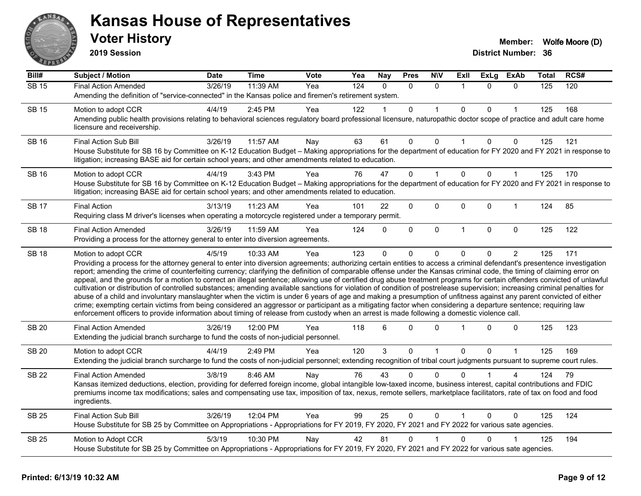

**2019 Session**

| Bill#        | <b>Subject / Motion</b>                                                                                                                                                                                                                                                                                                                                                                                                                                                                                                                                                                                                                                            | <b>Date</b> | <b>Time</b> | Vote | Yea              | <b>Nay</b>   | <b>Pres</b>  | <b>NIV</b>   | ExII         |          | ExLg ExAb      | Total | RCS# |
|--------------|--------------------------------------------------------------------------------------------------------------------------------------------------------------------------------------------------------------------------------------------------------------------------------------------------------------------------------------------------------------------------------------------------------------------------------------------------------------------------------------------------------------------------------------------------------------------------------------------------------------------------------------------------------------------|-------------|-------------|------|------------------|--------------|--------------|--------------|--------------|----------|----------------|-------|------|
| <b>SB 15</b> | <b>Final Action Amended</b>                                                                                                                                                                                                                                                                                                                                                                                                                                                                                                                                                                                                                                        | 3/26/19     | 11:39 AM    | Yea  | $\overline{124}$ | $\Omega$     | $\Omega$     | $\Omega$     | -1           | $\Omega$ | $\Omega$       | 125   | 120  |
|              | Amending the definition of "service-connected" in the Kansas police and firemen's retirement system.                                                                                                                                                                                                                                                                                                                                                                                                                                                                                                                                                               |             |             |      |                  |              |              |              |              |          |                |       |      |
| <b>SB 15</b> | Motion to adopt CCR                                                                                                                                                                                                                                                                                                                                                                                                                                                                                                                                                                                                                                                | 4/4/19      | 2:45 PM     | Yea  | 122              |              | $\Omega$     | 1            | $\Omega$     | $\Omega$ | 1              | 125   | 168  |
|              | Amending public health provisions relating to behavioral sciences regulatory board professional licensure, naturopathic doctor scope of practice and adult care home<br>licensure and receivership.                                                                                                                                                                                                                                                                                                                                                                                                                                                                |             |             |      |                  |              |              |              |              |          |                |       |      |
| <b>SB 16</b> | Final Action Sub Bill                                                                                                                                                                                                                                                                                                                                                                                                                                                                                                                                                                                                                                              | 3/26/19     | 11:57 AM    | Nay  | 63               | 61           | 0            | $\mathbf 0$  | 1            | $\Omega$ | 0              | 125   | 121  |
|              | House Substitute for SB 16 by Committee on K-12 Education Budget - Making appropriations for the department of education for FY 2020 and FY 2021 in response to<br>litigation; increasing BASE aid for certain school years; and other amendments related to education.                                                                                                                                                                                                                                                                                                                                                                                            |             |             |      |                  |              |              |              |              |          |                |       |      |
| <b>SB 16</b> | Motion to adopt CCR                                                                                                                                                                                                                                                                                                                                                                                                                                                                                                                                                                                                                                                | 4/4/19      | 3:43 PM     | Yea  | 76               | 47           | $\Omega$     |              | $\mathbf 0$  | $\Omega$ | 1              | 125   | 170  |
|              | House Substitute for SB 16 by Committee on K-12 Education Budget - Making appropriations for the department of education for FY 2020 and FY 2021 in response to<br>litigation; increasing BASE aid for certain school years; and other amendments related to education.                                                                                                                                                                                                                                                                                                                                                                                            |             |             |      |                  |              |              |              |              |          |                |       |      |
| <b>SB 17</b> | <b>Final Action</b>                                                                                                                                                                                                                                                                                                                                                                                                                                                                                                                                                                                                                                                | 3/13/19     | 11:23 AM    | Yea  | 101              | 22           | 0            | $\mathbf 0$  | $\mathbf 0$  | 0        | $\mathbf{1}$   | 124   | 85   |
|              | Requiring class M driver's licenses when operating a motorcycle registered under a temporary permit.                                                                                                                                                                                                                                                                                                                                                                                                                                                                                                                                                               |             |             |      |                  |              |              |              |              |          |                |       |      |
| <b>SB 18</b> | <b>Final Action Amended</b>                                                                                                                                                                                                                                                                                                                                                                                                                                                                                                                                                                                                                                        | 3/26/19     | 11:59 AM    | Yea  | 124              | $\mathbf{0}$ | 0            | 0            | $\mathbf{1}$ | $\Omega$ | $\mathbf 0$    | 125   | 122  |
|              | Providing a process for the attorney general to enter into diversion agreements.                                                                                                                                                                                                                                                                                                                                                                                                                                                                                                                                                                                   |             |             |      |                  |              |              |              |              |          |                |       |      |
| <b>SB 18</b> | Motion to adopt CCR<br>Providing a process for the attorney general to enter into diversion agreements; authorizing certain entities to access a criminal defendant's presentence investigation<br>report; amending the crime of counterfeiting currency; clarifying the definition of comparable offense under the Kansas criminal code, the timing of claiming error on<br>appeal, and the grounds for a motion to correct an illegal sentence; allowing use of certified drug abuse treatment programs for certain offenders convicted of unlawful                                                                                                              | 4/5/19      | 10:33 AM    | Yea  | 123              | $\mathbf{0}$ | $\Omega$     | 0            | $\Omega$     | $\Omega$ | $\overline{2}$ | 125   | 171  |
|              | cultivation or distribution of controlled substances; amending available sanctions for violation of condition of postrelease supervision; increasing criminal penalties for<br>abuse of a child and involuntary manslaughter when the victim is under 6 years of age and making a presumption of unfitness against any parent convicted of either<br>crime; exempting certain victims from being considered an aggressor or participant as a mitigating factor when considering a departure sentence; requiring law<br>enforcement officers to provide information about timing of release from custody when an arrest is made following a domestic violence call. |             |             |      |                  |              |              |              |              |          |                |       |      |
| <b>SB 20</b> | <b>Final Action Amended</b><br>Extending the judicial branch surcharge to fund the costs of non-judicial personnel.                                                                                                                                                                                                                                                                                                                                                                                                                                                                                                                                                | 3/26/19     | 12:00 PM    | Yea  | 118              | 6            | $\Omega$     | $\Omega$     |              | 0        | 0              | 125   | 123  |
| <b>SB 20</b> | Motion to adopt CCR                                                                                                                                                                                                                                                                                                                                                                                                                                                                                                                                                                                                                                                | 4/4/19      | 2:49 PM     | Yea  | 120              | 3            | 0            | $\mathbf{1}$ | $\mathbf 0$  | $\Omega$ | $\mathbf{1}$   | 125   | 169  |
|              | Extending the judicial branch surcharge to fund the costs of non-judicial personnel; extending recognition of tribal court judgments pursuant to supreme court rules.                                                                                                                                                                                                                                                                                                                                                                                                                                                                                              |             |             |      |                  |              |              |              |              |          |                |       |      |
| <b>SB 22</b> | <b>Final Action Amended</b>                                                                                                                                                                                                                                                                                                                                                                                                                                                                                                                                                                                                                                        | 3/8/19      | 8:46 AM     | Nay  | 76               | 43           | 0            | 0            | ∩            |          |                | 124   | 79   |
|              | Kansas itemized deductions, election, providing for deferred foreign income, global intangible low-taxed income, business interest, capital contributions and FDIC<br>premiums income tax modifications; sales and compensating use tax, imposition of tax, nexus, remote sellers, marketplace facilitators, rate of tax on food and food<br>ingredients.                                                                                                                                                                                                                                                                                                          |             |             |      |                  |              |              |              |              |          |                |       |      |
| <b>SB 25</b> | Final Action Sub Bill                                                                                                                                                                                                                                                                                                                                                                                                                                                                                                                                                                                                                                              | 3/26/19     | 12:04 PM    | Yea  | 99               | 25           | $\Omega$     | $\Omega$     |              | $\Omega$ | $\Omega$       | 125   | 124  |
|              | House Substitute for SB 25 by Committee on Appropriations - Appropriations for FY 2019, FY 2020, FY 2021 and FY 2022 for various sate agencies.                                                                                                                                                                                                                                                                                                                                                                                                                                                                                                                    |             |             |      |                  |              |              |              |              |          |                |       |      |
| <b>SB 25</b> | Motion to Adopt CCR                                                                                                                                                                                                                                                                                                                                                                                                                                                                                                                                                                                                                                                | 5/3/19      | 10:30 PM    | Nay  | 42               | 81           | $\mathbf{0}$ |              | $\mathbf{0}$ | 0        |                | 125   | 194  |
|              | House Substitute for SB 25 by Committee on Appropriations - Appropriations for FY 2019, FY 2020, FY 2021 and FY 2022 for various sate agencies.                                                                                                                                                                                                                                                                                                                                                                                                                                                                                                                    |             |             |      |                  |              |              |              |              |          |                |       |      |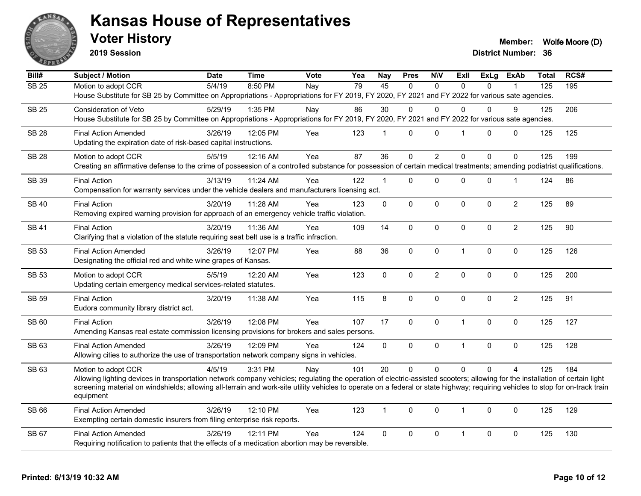

**2019 Session**

**Voter History Member:** Wolfe Moore (D)

| RCS#                                                                                                                                                                                                                                                                                                                                                           |
|----------------------------------------------------------------------------------------------------------------------------------------------------------------------------------------------------------------------------------------------------------------------------------------------------------------------------------------------------------------|
| 195                                                                                                                                                                                                                                                                                                                                                            |
|                                                                                                                                                                                                                                                                                                                                                                |
| 206                                                                                                                                                                                                                                                                                                                                                            |
|                                                                                                                                                                                                                                                                                                                                                                |
| 125                                                                                                                                                                                                                                                                                                                                                            |
|                                                                                                                                                                                                                                                                                                                                                                |
| 199                                                                                                                                                                                                                                                                                                                                                            |
| Creating an affirmative defense to the crime of possession of a controlled substance for possession of certain medical treatments; amending podiatrist qualifications.                                                                                                                                                                                         |
| 86                                                                                                                                                                                                                                                                                                                                                             |
|                                                                                                                                                                                                                                                                                                                                                                |
| 89                                                                                                                                                                                                                                                                                                                                                             |
|                                                                                                                                                                                                                                                                                                                                                                |
| 90                                                                                                                                                                                                                                                                                                                                                             |
|                                                                                                                                                                                                                                                                                                                                                                |
| 126                                                                                                                                                                                                                                                                                                                                                            |
|                                                                                                                                                                                                                                                                                                                                                                |
| 200                                                                                                                                                                                                                                                                                                                                                            |
|                                                                                                                                                                                                                                                                                                                                                                |
|                                                                                                                                                                                                                                                                                                                                                                |
| 91                                                                                                                                                                                                                                                                                                                                                             |
|                                                                                                                                                                                                                                                                                                                                                                |
| 127                                                                                                                                                                                                                                                                                                                                                            |
|                                                                                                                                                                                                                                                                                                                                                                |
| 128                                                                                                                                                                                                                                                                                                                                                            |
|                                                                                                                                                                                                                                                                                                                                                                |
| 184                                                                                                                                                                                                                                                                                                                                                            |
| Allowing lighting devices in transportation network company vehicles; regulating the operation of electric-assisted scooters; allowing for the installation of certain light<br>screening material on windshields; allowing all-terrain and work-site utility vehicles to operate on a federal or state highway; requiring vehicles to stop for on-track train |
|                                                                                                                                                                                                                                                                                                                                                                |
| 129                                                                                                                                                                                                                                                                                                                                                            |
|                                                                                                                                                                                                                                                                                                                                                                |
| 130                                                                                                                                                                                                                                                                                                                                                            |
|                                                                                                                                                                                                                                                                                                                                                                |
|                                                                                                                                                                                                                                                                                                                                                                |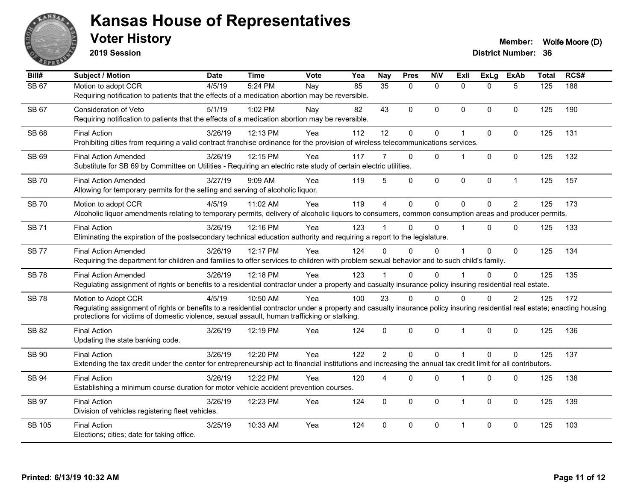

**2019 Session**

| Bill#         | <b>Subject / Motion</b>                                                                                                                                                                                                                                                                          | <b>Date</b> | <b>Time</b> | Vote | Yea | <b>Nay</b>      | <b>Pres</b>  | <b>N\V</b>   | ExII                    | <b>ExLg</b> | <b>ExAb</b>    | <b>Total</b> | RCS# |
|---------------|--------------------------------------------------------------------------------------------------------------------------------------------------------------------------------------------------------------------------------------------------------------------------------------------------|-------------|-------------|------|-----|-----------------|--------------|--------------|-------------------------|-------------|----------------|--------------|------|
| SB 67         | Motion to adopt CCR<br>Requiring notification to patients that the effects of a medication abortion may be reversible.                                                                                                                                                                           | 4/5/19      | 5:24 PM     | Nay  | 85  | $\overline{35}$ | $\mathbf{0}$ | $\mathbf{0}$ | $\Omega$                | $\Omega$    | 5              | 125          | 188  |
| SB 67         | <b>Consideration of Veto</b><br>Requiring notification to patients that the effects of a medication abortion may be reversible.                                                                                                                                                                  | 5/1/19      | 1:02 PM     | Nay  | 82  | 43              | $\Omega$     | $\Omega$     | $\mathbf{0}$            | $\Omega$    | $\mathbf{0}$   | 125          | 190  |
| SB 68         | <b>Final Action</b><br>Prohibiting cities from requiring a valid contract franchise ordinance for the provision of wireless telecommunications services.                                                                                                                                         | 3/26/19     | 12:13 PM    | Yea  | 112 | 12              | 0            | 0            | $\overline{\mathbf{1}}$ | $\Omega$    | $\mathbf 0$    | 125          | 131  |
| <b>SB 69</b>  | <b>Final Action Amended</b><br>Substitute for SB 69 by Committee on Utilities - Requiring an electric rate study of certain electric utilities.                                                                                                                                                  | 3/26/19     | 12:15 PM    | Yea  | 117 |                 | $\Omega$     | $\Omega$     | -1                      | $\Omega$    | $\mathbf{0}$   | 125          | 132  |
| <b>SB 70</b>  | <b>Final Action Amended</b><br>Allowing for temporary permits for the selling and serving of alcoholic liquor.                                                                                                                                                                                   | 3/27/19     | 9:09 AM     | Yea  | 119 | 5               | $\Omega$     | 0            | $\pmb{0}$               | 0           | $\mathbf{1}$   | 125          | 157  |
| <b>SB 70</b>  | Motion to adopt CCR<br>Alcoholic liquor amendments relating to temporary permits, delivery of alcoholic liquors to consumers, common consumption areas and producer permits.                                                                                                                     | 4/5/19      | 11:02 AM    | Yea  | 119 | $\overline{4}$  | 0            | $\mathbf 0$  | $\Omega$                | $\mathbf 0$ | $\overline{2}$ | 125          | 173  |
| <b>SB71</b>   | <b>Final Action</b><br>Eliminating the expiration of the postsecondary technical education authority and requiring a report to the legislature.                                                                                                                                                  | 3/26/19     | 12:16 PM    | Yea  | 123 |                 | $\Omega$     | $\Omega$     | $\overline{\mathbf{1}}$ | $\Omega$    | $\Omega$       | 125          | 133  |
| <b>SB77</b>   | <b>Final Action Amended</b><br>Requiring the department for children and families to offer services to children with problem sexual behavior and to such child's family.                                                                                                                         | 3/26/19     | 12:17 PM    | Yea  | 124 | $\Omega$        | $\Omega$     | $\Omega$     |                         | 0           | $\mathbf 0$    | 125          | 134  |
| <b>SB78</b>   | <b>Final Action Amended</b><br>Regulating assignment of rights or benefits to a residential contractor under a property and casualty insurance policy insuring residential real estate.                                                                                                          | 3/26/19     | 12:18 PM    | Yea  | 123 |                 | $\Omega$     | $\Omega$     |                         | $\Omega$    | $\mathbf 0$    | 125          | 135  |
| <b>SB78</b>   | Motion to Adopt CCR<br>Regulating assignment of rights or benefits to a residential contractor under a property and casualty insurance policy insuring residential real estate; enacting housing<br>protections for victims of domestic violence, sexual assault, human trafficking or stalking. | 4/5/19      | 10:50 AM    | Yea  | 100 | 23              | 0            | $\Omega$     | 0                       | 0           | $\overline{2}$ | 125          | 172  |
| <b>SB 82</b>  | <b>Final Action</b><br>Updating the state banking code.                                                                                                                                                                                                                                          | 3/26/19     | 12:19 PM    | Yea  | 124 | $\mathbf{0}$    | $\mathbf 0$  | 0            | $\overline{1}$          | 0           | $\mathbf 0$    | 125          | 136  |
| <b>SB 90</b>  | <b>Final Action</b><br>Extending the tax credit under the center for entrepreneurship act to financial institutions and increasing the annual tax credit limit for all contributors.                                                                                                             | 3/26/19     | 12:20 PM    | Yea  | 122 | $\overline{2}$  | $\Omega$     | $\Omega$     | $\overline{1}$          | $\Omega$    | $\Omega$       | 125          | 137  |
| <b>SB 94</b>  | <b>Final Action</b><br>Establishing a minimum course duration for motor vehicle accident prevention courses.                                                                                                                                                                                     | 3/26/19     | 12:22 PM    | Yea  | 120 | 4               | $\mathbf 0$  | 0            | $\overline{1}$          | 0           | $\mathbf 0$    | 125          | 138  |
| SB 97         | <b>Final Action</b><br>Division of vehicles registering fleet vehicles.                                                                                                                                                                                                                          | 3/26/19     | 12:23 PM    | Yea  | 124 | $\Omega$        | $\mathbf{0}$ | $\Omega$     | $\overline{1}$          | $\mathbf 0$ | $\mathbf 0$    | 125          | 139  |
| <b>SB 105</b> | <b>Final Action</b><br>Elections; cities; date for taking office.                                                                                                                                                                                                                                | 3/25/19     | 10:33 AM    | Yea  | 124 | $\mathbf{0}$    | $\mathbf{0}$ | $\Omega$     | $\overline{1}$          | $\Omega$    | $\mathbf{0}$   | 125          | 103  |